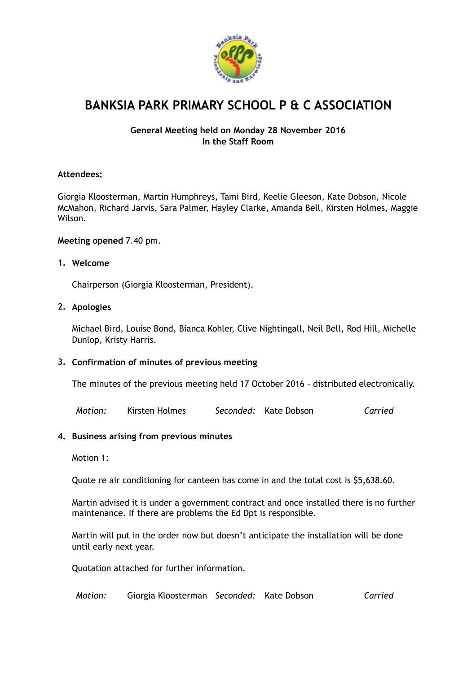

# **BANKSIA PARK PRIMARY SCHOOL P & C ASSOCIATION**

# **General Meeting held on Monday 28 November 2016 In the Staff Room**

# **Attendees:**

Giorgia Kloosterman, Martin Humphreys, Tami Bird, Keelie Gleeson, Kate Dobson, Nicole McMahon, Richard Jarvis, Sara Palmer, Hayley Clarke, Amanda Bell, Kirsten Holmes, Maggie Wilson.

**Meeting opened** 7.40 pm.

## **1. Welcome**

Chairperson (Giorgia Kloosterman, President).

## **2. Apologies**

Michael Bird, Louise Bond, Bianca Kohler, Clive Nightingall, Neil Bell, Rod Hill, Michelle Dunlop, Kristy Harris.

## **3. Confirmation of minutes of previous meeting**

The minutes of the previous meeting held 17 October 2016 – distributed electronically.

*Motion:* Kirsten Holmes *Seconded:* Kate Dobson *Carried*

## **4. Business arising from previous minutes**

Motion 1:

Quote re air conditioning for canteen has come in and the total cost is \$5,638.60.

Martin advised it is under a government contract and once installed there is no further maintenance. If there are problems the Ed Dpt is responsible.

Martin will put in the order now but doesn't anticipate the installation will be done until early next year.

Quotation attached for further information.

*Motion:* Giorgia Kloosterman *Seconded:* Kate Dobson *Carried*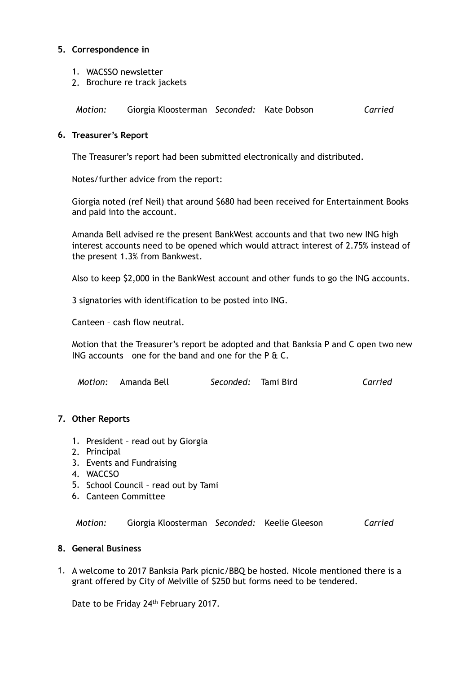## **5. Correspondence in**

- 1. WACSSO newsletter
- 2. Brochure re track jackets

*Motion:* Giorgia Kloosterman *Seconded:* Kate Dobson *Carried*

## **6. Treasurer's Report**

The Treasurer's report had been submitted electronically and distributed.

Notes/further advice from the report:

Giorgia noted (ref Neil) that around \$680 had been received for Entertainment Books and paid into the account.

Amanda Bell advised re the present BankWest accounts and that two new ING high interest accounts need to be opened which would attract interest of 2.75% instead of the present 1.3% from Bankwest.

Also to keep \$2,000 in the BankWest account and other funds to go the ING accounts.

3 signatories with identification to be posted into ING.

Canteen – cash flow neutral.

Motion that the Treasurer's report be adopted and that Banksia P and C open two new ING accounts – one for the band and one for the P & C.

| Motion: Amanda Bell | Seconded: Tami Bird | Carried |
|---------------------|---------------------|---------|
|                     |                     |         |

## **7. Other Reports**

- 1. President read out by Giorgia
- 2. Principal
- 3. Events and Fundraising
- 4. WACCSO
- 5. School Council read out by Tami
- 6. Canteen Committee

*Motion:* Giorgia Kloosterman *Seconded:* Keelie Gleeson *Carried*

## **8. General Business**

1. A welcome to 2017 Banksia Park picnic/BBQ be hosted. Nicole mentioned there is a grant offered by City of Melville of \$250 but forms need to be tendered.

Date to be Friday 24<sup>th</sup> February 2017.